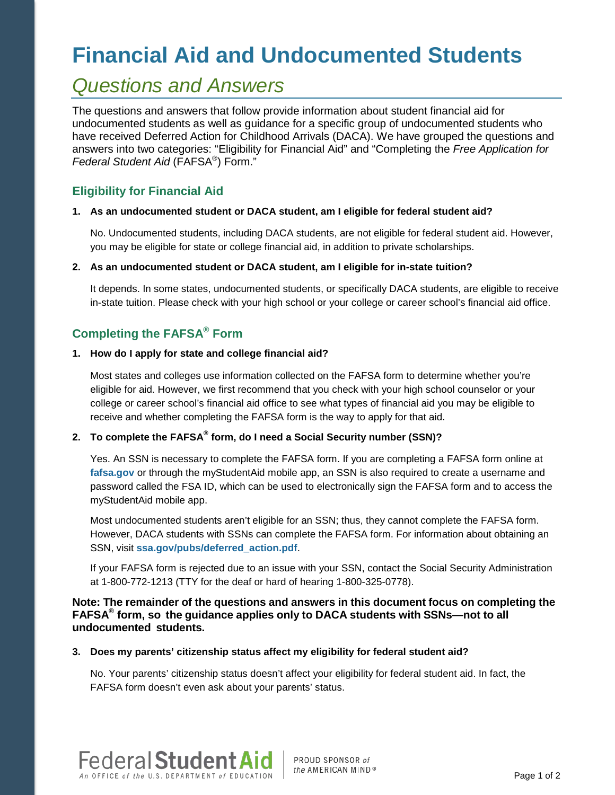# **Financial Aid and Undocumented Students**

## *Questions and Answers*

The questions and answers that follow provide information about student financial aid for undocumented students as well as guidance for a specific group of undocumented students who have received Deferred Action for Childhood Arrivals (DACA). We have grouped the questions and answers into two categories: "Eligibility for Financial Aid" and "Completing the *Free Application for Federal Student Aid* (FAFSA®) Form."

### **Eligibility for Financial Aid**

#### **1. As an undocumented student or DACA student, am I eligible for federal student aid?**

No. Undocumented students, including DACA students, are not eligible for federal student aid. However, you may be eligible for state or college financial aid, in addition to private scholarships.

#### **2. As an undocumented student or DACA student, am I eligible for in-state tuition?**

It depends. In some states, undocumented students, or specifically DACA students, are eligible to receive in-state tuition. Please check with your high school or your college or career school's financial aid office.

## **Completing the FAFSA® Form**

#### **1. How do I apply for state and college financial aid?**

Most states and colleges use information collected on the FAFSA form to determine whether you're eligible for aid. However, we first recommend that you check with your high school counselor or your college or career school's financial aid office to see what types of financial aid you may be eligible to receive and whether completing the FAFSA form is the way to apply for that aid.

## **2. To complete the FAFSA® form, do I need a Social Security number (SSN)?**

Yes. An SSN is necessary to complete the FAFSA form. If you are completing a FAFSA form online at **[fafsa.gov](https://studentaid.ed.gov/sa/fafsa)** or through the myStudentAid mobile app, an SSN is also required to create a username and password called the FSA ID, which can be used to electronically sign the FAFSA form and to access the myStudentAid mobile app.

Most undocumented students aren't eligible for an SSN; thus, they cannot complete the FAFSA form. However, DACA students with SSNs can complete the FAFSA form. For information about obtaining an SSN, visit **[ssa.gov/pubs/deferred\\_action.pdf](https://www.ssa.gov/pubs/deferred_action.pdf)**.

If your FAFSA form is rejected due to an issue with your SSN, contact the Social Security Administration at 1-800-772-1213 (TTY for the deaf or hard of hearing 1-800-325-0778).

#### **Note: The remainder of the questions and answers in this document focus on completing the FAFSA® form, so the guidance applies only to DACA students with SSNs—not to all undocumented students.**

#### **3. Does my parents' citizenship status affect my eligibility for federal student aid?**

No. Your parents' citizenship status doesn't affect your eligibility for federal student aid. In fact, the FAFSA form doesn't even ask about your parents' status.